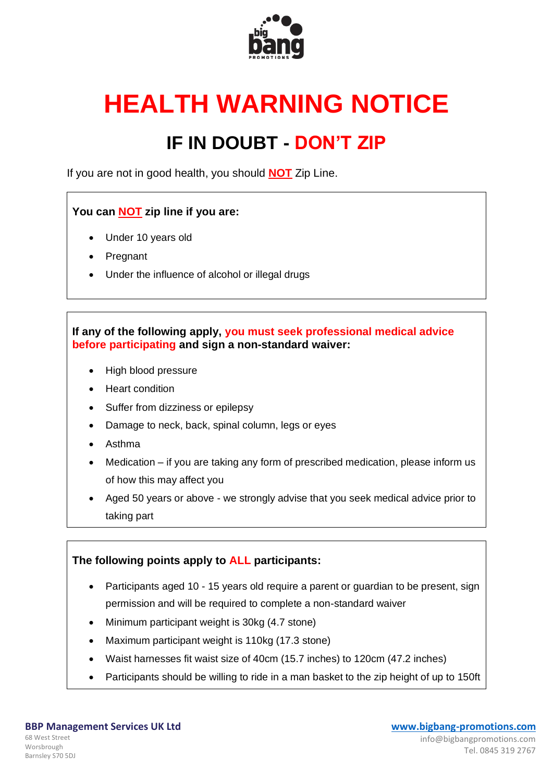

# **HEALTH WARNING NOTICE**

## **IF IN DOUBT - DON'T ZIP**

If you are not in good health, you should **NOT** Zip Line.

#### **You can NOT zip line if you are:**

- Under 10 years old
- **Pregnant**
- Under the influence of alcohol or illegal drugs

#### **If any of the following apply, you must seek professional medical advice before participating and sign a non-standard waiver:**

- High blood pressure
- Heart condition
- Suffer from dizziness or epilepsy
- Damage to neck, back, spinal column, legs or eyes
- Asthma
- Medication if you are taking any form of prescribed medication, please inform us of how this may affect you
- Aged 50 years or above we strongly advise that you seek medical advice prior to taking part

#### **The following points apply to ALL participants:**

- Participants aged 10 15 years old require a parent or guardian to be present, sign permission and will be required to complete a non-standard waiver
- Minimum participant weight is 30kg (4.7 stone)
- Maximum participant weight is 110kg (17.3 stone)
- Waist harnesses fit waist size of 40cm (15.7 inches) to 120cm (47.2 inches)
- Participants should be willing to ride in a man basket to the zip height of up to 150ft